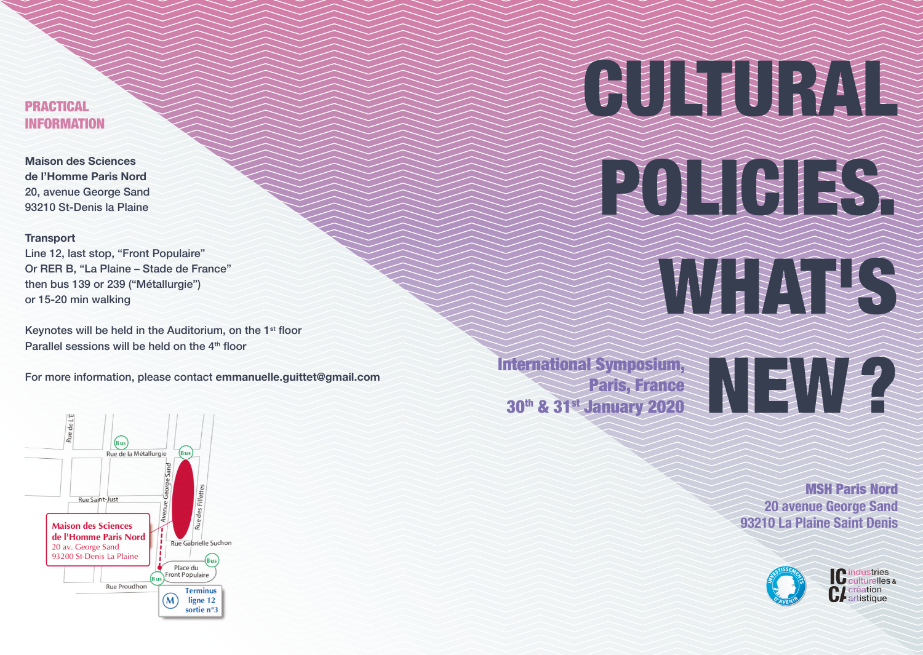# PRACTICAL INFORMATION

**Maison des Sciences de l'Homme Paris Nord**  20, avenue George Sand 93210 St-Denis la Plaine

## **Transport**

Line 12, last stop, "Front Populaire" Or RER B, "La Plaine – Stade de France" then bus 139 or 239 ("Métallurgie") or 15-20 min walking

Keynotes will be held in the Auditorium, on the 1<sup>st</sup> floor Parallel sessions will be held on the  $4<sup>th</sup>$  floor

For more information, please contact **emmanuelle.guittet@gmail.com**



Paris, France 30<sup>th</sup> & 31<sup>st</sup> January 2020

# International Symposium,<br>Paris, France<br>30<sup>th</sup> & 31<sup>st</sup> January 2020

ENTEREST

CULTURAL CULTURAL

POLICIES AND

MSH Paris Nord **20 avenue George Sand 93210 La Plaine Saint Denis**



**C** industries<br>C culturelles & **CL** création artistique